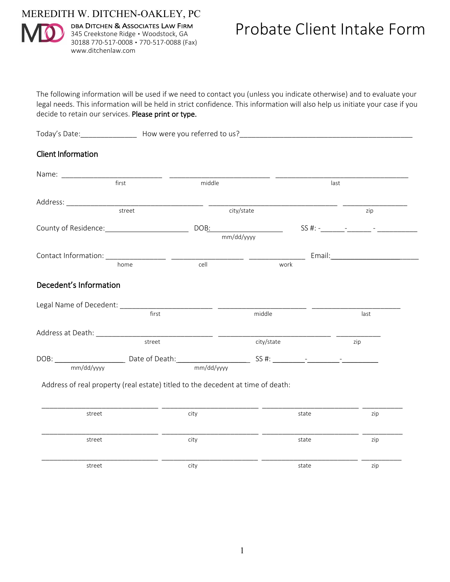MEREDITH W. DITCHEN-OAKLEY, PC



DBA DITCHEN & ASSOCIATES LAW FIRM 345 Creekstone Ridge · Woodstock, GA 30188 770-517-0008 ▪ 770-517-0088 (Fax) www.ditchenlaw.com

The following information will be used if we need to contact you (unless you indicate otherwise) and to evaluate your legal needs. This information will be held in strict confidence. This information will also help us initiate your case if you decide to retain our services. Please print or type.

| LOU3V<br>. | $\sqrt{2}$<br>$\overline{M}$<br>wer<br>.<br>–.<br>. |
|------------|-----------------------------------------------------|
|            |                                                     |

## Client Information

|                                                                                  | first  | middle     |            | last |      |
|----------------------------------------------------------------------------------|--------|------------|------------|------|------|
| Address: No. 1997                                                                |        |            |            |      |      |
|                                                                                  | street |            | city/state |      | zip  |
|                                                                                  |        | DOB:       |            |      |      |
|                                                                                  |        | mm/dd/yyyy |            |      |      |
|                                                                                  |        |            |            |      |      |
|                                                                                  | home   | cell       | work       |      |      |
| Decedent's Information                                                           |        |            |            |      |      |
|                                                                                  |        |            |            |      |      |
|                                                                                  | first  |            | middle     |      | last |
| Address at Death: National Address at Death:                                     |        |            |            |      |      |
|                                                                                  | street |            | city/state |      | zip  |
| DOB: ___________________________________Date of Death:__________________________ |        |            |            |      |      |
| mm/dd/yyyy                                                                       |        | mm/dd/yyyy |            |      |      |

Address of real property (real estate) titled to the decedent at time of death:

| street | city | state | zip |
|--------|------|-------|-----|
| street | city | state | zip |
| street | city | state | zip |